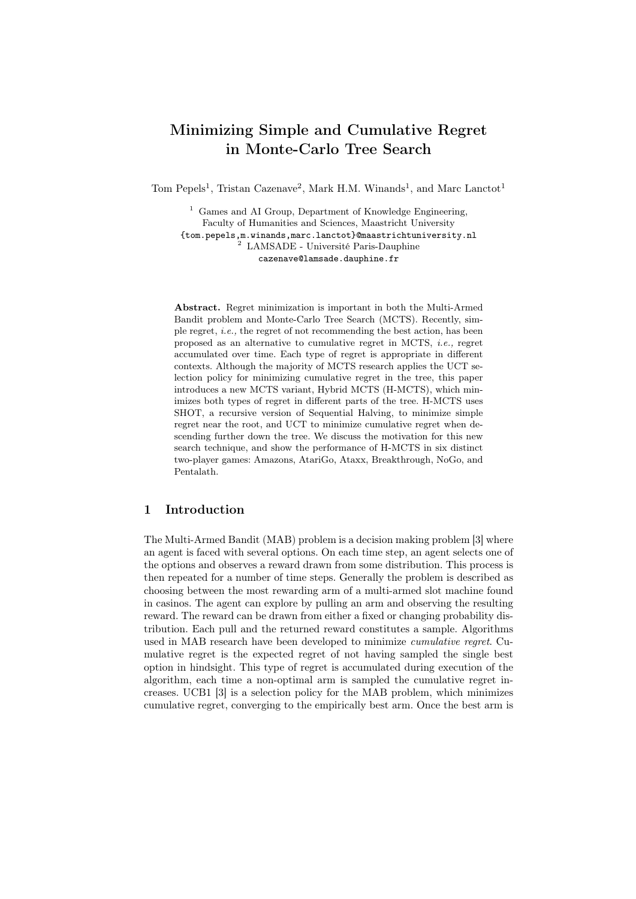# Minimizing Simple and Cumulative Regret in Monte-Carlo Tree Search

Tom Pepels<sup>1</sup>, Tristan Cazenave<sup>2</sup>, Mark H.M. Winands<sup>1</sup>, and Marc Lanctot<sup>1</sup>

<sup>1</sup> Games and AI Group, Department of Knowledge Engineering, Faculty of Humanities and Sciences, Maastricht University {tom.pepels,m.winands,marc.lanctot}@maastrichtuniversity.nl <sup>2</sup> LAMSADE - Université Paris-Dauphine cazenave@lamsade.dauphine.fr

Abstract. Regret minimization is important in both the Multi-Armed Bandit problem and Monte-Carlo Tree Search (MCTS). Recently, simple regret, i.e., the regret of not recommending the best action, has been proposed as an alternative to cumulative regret in MCTS, i.e., regret accumulated over time. Each type of regret is appropriate in different contexts. Although the majority of MCTS research applies the UCT selection policy for minimizing cumulative regret in the tree, this paper introduces a new MCTS variant, Hybrid MCTS (H-MCTS), which minimizes both types of regret in different parts of the tree. H-MCTS uses SHOT, a recursive version of Sequential Halving, to minimize simple regret near the root, and UCT to minimize cumulative regret when descending further down the tree. We discuss the motivation for this new search technique, and show the performance of H-MCTS in six distinct two-player games: Amazons, AtariGo, Ataxx, Breakthrough, NoGo, and Pentalath.

# 1 Introduction

The Multi-Armed Bandit (MAB) problem is a decision making problem [3] where an agent is faced with several options. On each time step, an agent selects one of the options and observes a reward drawn from some distribution. This process is then repeated for a number of time steps. Generally the problem is described as choosing between the most rewarding arm of a multi-armed slot machine found in casinos. The agent can explore by pulling an arm and observing the resulting reward. The reward can be drawn from either a fixed or changing probability distribution. Each pull and the returned reward constitutes a sample. Algorithms used in MAB research have been developed to minimize cumulative regret. Cumulative regret is the expected regret of not having sampled the single best option in hindsight. This type of regret is accumulated during execution of the algorithm, each time a non-optimal arm is sampled the cumulative regret increases. UCB1 [3] is a selection policy for the MAB problem, which minimizes cumulative regret, converging to the empirically best arm. Once the best arm is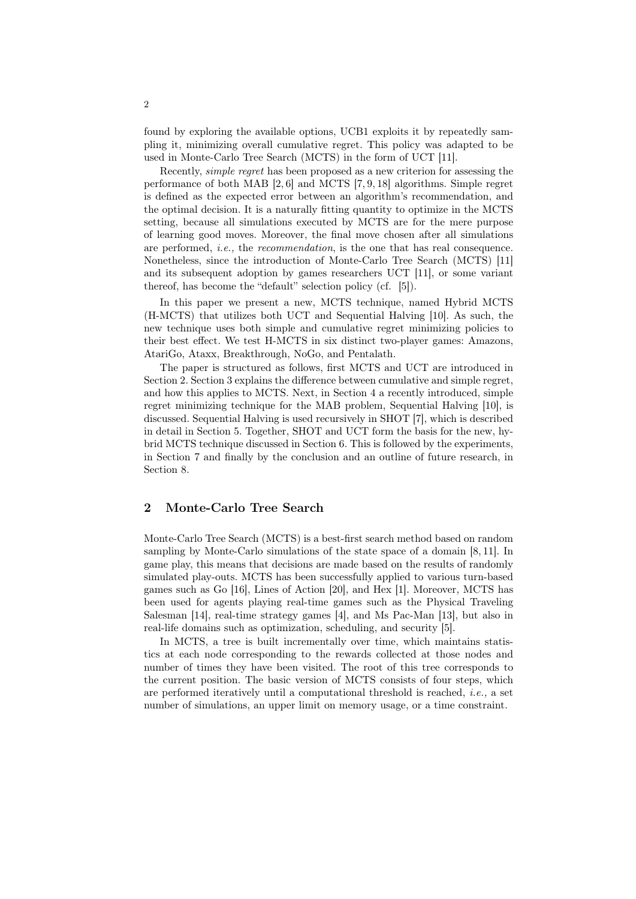found by exploring the available options, UCB1 exploits it by repeatedly sampling it, minimizing overall cumulative regret. This policy was adapted to be used in Monte-Carlo Tree Search (MCTS) in the form of UCT [11].

Recently, simple regret has been proposed as a new criterion for assessing the performance of both MAB [2, 6] and MCTS [7, 9, 18] algorithms. Simple regret is defined as the expected error between an algorithm's recommendation, and the optimal decision. It is a naturally fitting quantity to optimize in the MCTS setting, because all simulations executed by MCTS are for the mere purpose of learning good moves. Moreover, the final move chosen after all simulations are performed, i.e., the recommendation, is the one that has real consequence. Nonetheless, since the introduction of Monte-Carlo Tree Search (MCTS) [11] and its subsequent adoption by games researchers UCT [11], or some variant thereof, has become the "default" selection policy (cf. [5]).

In this paper we present a new, MCTS technique, named Hybrid MCTS (H-MCTS) that utilizes both UCT and Sequential Halving [10]. As such, the new technique uses both simple and cumulative regret minimizing policies to their best effect. We test H-MCTS in six distinct two-player games: Amazons, AtariGo, Ataxx, Breakthrough, NoGo, and Pentalath.

The paper is structured as follows, first MCTS and UCT are introduced in Section 2. Section 3 explains the difference between cumulative and simple regret, and how this applies to MCTS. Next, in Section 4 a recently introduced, simple regret minimizing technique for the MAB problem, Sequential Halving [10], is discussed. Sequential Halving is used recursively in SHOT [7], which is described in detail in Section 5. Together, SHOT and UCT form the basis for the new, hybrid MCTS technique discussed in Section 6. This is followed by the experiments, in Section 7 and finally by the conclusion and an outline of future research, in Section 8.

# 2 Monte-Carlo Tree Search

Monte-Carlo Tree Search (MCTS) is a best-first search method based on random sampling by Monte-Carlo simulations of the state space of a domain [8, 11]. In game play, this means that decisions are made based on the results of randomly simulated play-outs. MCTS has been successfully applied to various turn-based games such as Go [16], Lines of Action [20], and Hex [1]. Moreover, MCTS has been used for agents playing real-time games such as the Physical Traveling Salesman [14], real-time strategy games [4], and Ms Pac-Man [13], but also in real-life domains such as optimization, scheduling, and security [5].

In MCTS, a tree is built incrementally over time, which maintains statistics at each node corresponding to the rewards collected at those nodes and number of times they have been visited. The root of this tree corresponds to the current position. The basic version of MCTS consists of four steps, which are performed iteratively until a computational threshold is reached, i.e., a set number of simulations, an upper limit on memory usage, or a time constraint.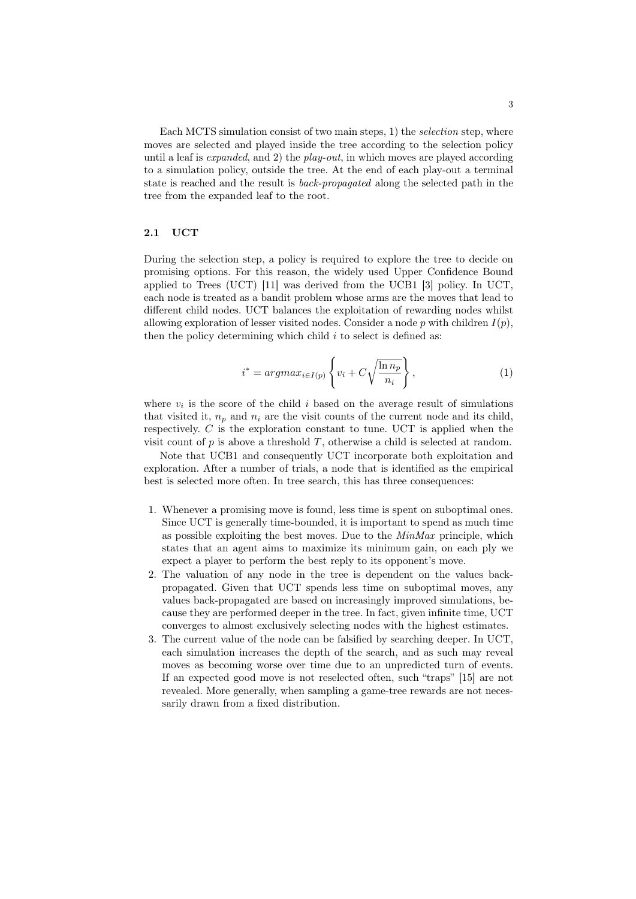Each MCTS simulation consist of two main steps, 1) the *selection* step, where moves are selected and played inside the tree according to the selection policy until a leaf is *expanded*, and 2) the *play-out*, in which moves are played according to a simulation policy, outside the tree. At the end of each play-out a terminal state is reached and the result is back-propagated along the selected path in the tree from the expanded leaf to the root.

### 2.1 UCT

During the selection step, a policy is required to explore the tree to decide on promising options. For this reason, the widely used Upper Confidence Bound applied to Trees (UCT) [11] was derived from the UCB1 [3] policy. In UCT, each node is treated as a bandit problem whose arms are the moves that lead to different child nodes. UCT balances the exploitation of rewarding nodes whilst allowing exploration of lesser visited nodes. Consider a node p with children  $I(p)$ , then the policy determining which child  $i$  to select is defined as:

$$
i^* = argmax_{i \in I(p)} \left\{ v_i + C \sqrt{\frac{\ln n_p}{n_i}} \right\},\tag{1}
$$

where  $v_i$  is the score of the child i based on the average result of simulations that visited it,  $n_p$  and  $n_i$  are the visit counts of the current node and its child, respectively.  $C$  is the exploration constant to tune. UCT is applied when the visit count of  $p$  is above a threshold  $T$ , otherwise a child is selected at random.

Note that UCB1 and consequently UCT incorporate both exploitation and exploration. After a number of trials, a node that is identified as the empirical best is selected more often. In tree search, this has three consequences:

- 1. Whenever a promising move is found, less time is spent on suboptimal ones. Since UCT is generally time-bounded, it is important to spend as much time as possible exploiting the best moves. Due to the  $MinMax$  principle, which states that an agent aims to maximize its minimum gain, on each ply we expect a player to perform the best reply to its opponent's move.
- 2. The valuation of any node in the tree is dependent on the values backpropagated. Given that UCT spends less time on suboptimal moves, any values back-propagated are based on increasingly improved simulations, because they are performed deeper in the tree. In fact, given infinite time, UCT converges to almost exclusively selecting nodes with the highest estimates.
- 3. The current value of the node can be falsified by searching deeper. In UCT, each simulation increases the depth of the search, and as such may reveal moves as becoming worse over time due to an unpredicted turn of events. If an expected good move is not reselected often, such "traps" [15] are not revealed. More generally, when sampling a game-tree rewards are not necessarily drawn from a fixed distribution.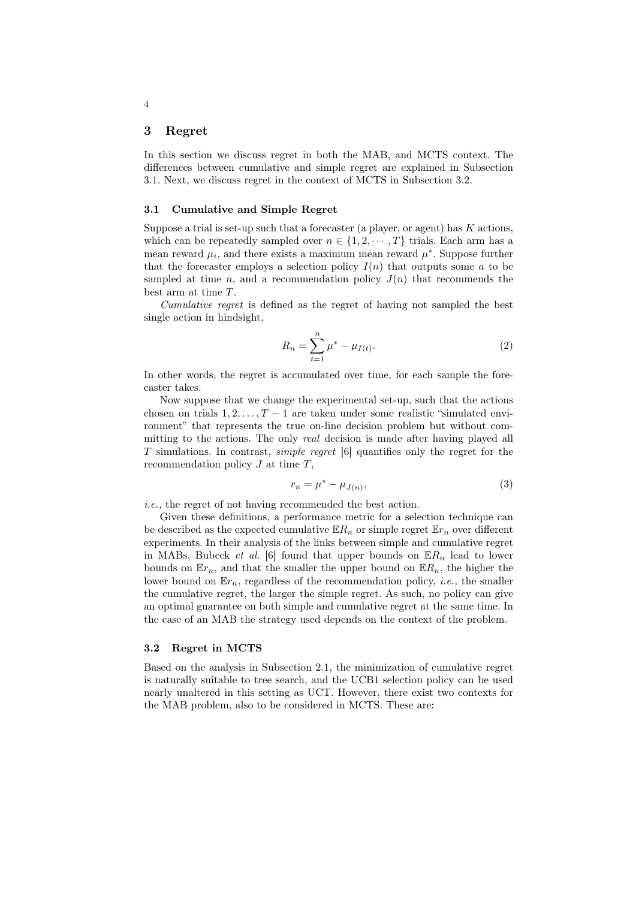### 3 Regret

In this section we discuss regret in both the MAB, and MCTS context. The differences between cumulative and simple regret are explained in Subsection 3.1. Next, we discuss regret in the context of MCTS in Subsection 3.2.

#### 3.1 Cumulative and Simple Regret

Suppose a trial is set-up such that a forecaster (a player, or agent) has  $K$  actions, which can be repeatedly sampled over  $n \in \{1, 2, \dots, T\}$  trials. Each arm has a mean reward  $\mu_i$ , and there exists a maximum mean reward  $\mu^*$ . Suppose further that the forecaster employs a selection policy  $I(n)$  that outputs some a to be sampled at time n, and a recommendation policy  $J(n)$  that recommends the best arm at time T.

Cumulative regret is defined as the regret of having not sampled the best single action in hindsight,

$$
R_n = \sum_{t=1}^n \mu^* - \mu_{I(t)}.
$$
 (2)

In other words, the regret is accumulated over time, for each sample the forecaster takes.

Now suppose that we change the experimental set-up, such that the actions chosen on trials  $1, 2, \ldots, T-1$  are taken under some realistic "simulated environment" that represents the true on-line decision problem but without committing to the actions. The only *real* decision is made after having played all T simulations. In contrast, simple regret [6] quantifies only the regret for the recommendation policy  $J$  at time  $T$ ,

$$
r_n = \mu^* - \mu_{J(n)},\tag{3}
$$

i.e., the regret of not having recommended the best action.

Given these definitions, a performance metric for a selection technique can be described as the expected cumulative  $\mathbb{E}R_n$  or simple regret  $\mathbb{E}r_n$  over different experiments. In their analysis of the links between simple and cumulative regret in MABs, Bubeck *et al.* [6] found that upper bounds on  $\mathbb{E}R_n$  lead to lower bounds on  $\mathbb{E}r_n$ , and that the smaller the upper bound on  $\mathbb{E}R_n$ , the higher the lower bound on  $\mathbb{E}r_n$ , regardless of the recommendation policy, *i.e.*, the smaller the cumulative regret, the larger the simple regret. As such, no policy can give an optimal guarantee on both simple and cumulative regret at the same time. In the case of an MAB the strategy used depends on the context of the problem.

#### 3.2 Regret in MCTS

Based on the analysis in Subsection 2.1, the minimization of cumulative regret is naturally suitable to tree search, and the UCB1 selection policy can be used nearly unaltered in this setting as UCT. However, there exist two contexts for the MAB problem, also to be considered in MCTS. These are: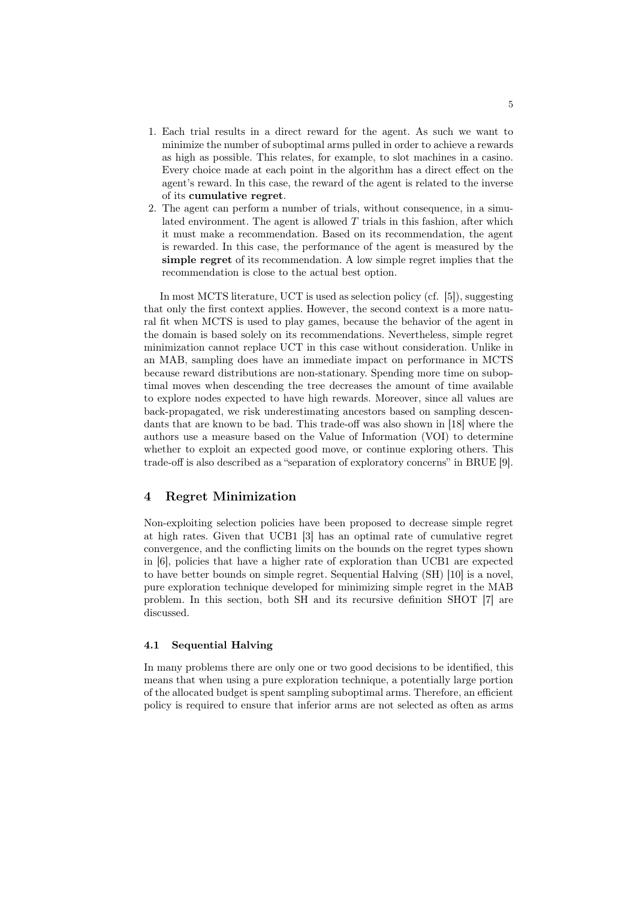- 1. Each trial results in a direct reward for the agent. As such we want to minimize the number of suboptimal arms pulled in order to achieve a rewards as high as possible. This relates, for example, to slot machines in a casino. Every choice made at each point in the algorithm has a direct effect on the agent's reward. In this case, the reward of the agent is related to the inverse of its cumulative regret.
- 2. The agent can perform a number of trials, without consequence, in a simulated environment. The agent is allowed  $T$  trials in this fashion, after which it must make a recommendation. Based on its recommendation, the agent is rewarded. In this case, the performance of the agent is measured by the simple regret of its recommendation. A low simple regret implies that the recommendation is close to the actual best option.

In most MCTS literature, UCT is used as selection policy (cf. [5]), suggesting that only the first context applies. However, the second context is a more natural fit when MCTS is used to play games, because the behavior of the agent in the domain is based solely on its recommendations. Nevertheless, simple regret minimization cannot replace UCT in this case without consideration. Unlike in an MAB, sampling does have an immediate impact on performance in MCTS because reward distributions are non-stationary. Spending more time on suboptimal moves when descending the tree decreases the amount of time available to explore nodes expected to have high rewards. Moreover, since all values are back-propagated, we risk underestimating ancestors based on sampling descendants that are known to be bad. This trade-off was also shown in [18] where the authors use a measure based on the Value of Information (VOI) to determine whether to exploit an expected good move, or continue exploring others. This trade-off is also described as a "separation of exploratory concerns" in BRUE [9].

### 4 Regret Minimization

Non-exploiting selection policies have been proposed to decrease simple regret at high rates. Given that UCB1 [3] has an optimal rate of cumulative regret convergence, and the conflicting limits on the bounds on the regret types shown in [6], policies that have a higher rate of exploration than UCB1 are expected to have better bounds on simple regret. Sequential Halving (SH) [10] is a novel, pure exploration technique developed for minimizing simple regret in the MAB problem. In this section, both SH and its recursive definition SHOT [7] are discussed.

#### 4.1 Sequential Halving

In many problems there are only one or two good decisions to be identified, this means that when using a pure exploration technique, a potentially large portion of the allocated budget is spent sampling suboptimal arms. Therefore, an efficient policy is required to ensure that inferior arms are not selected as often as arms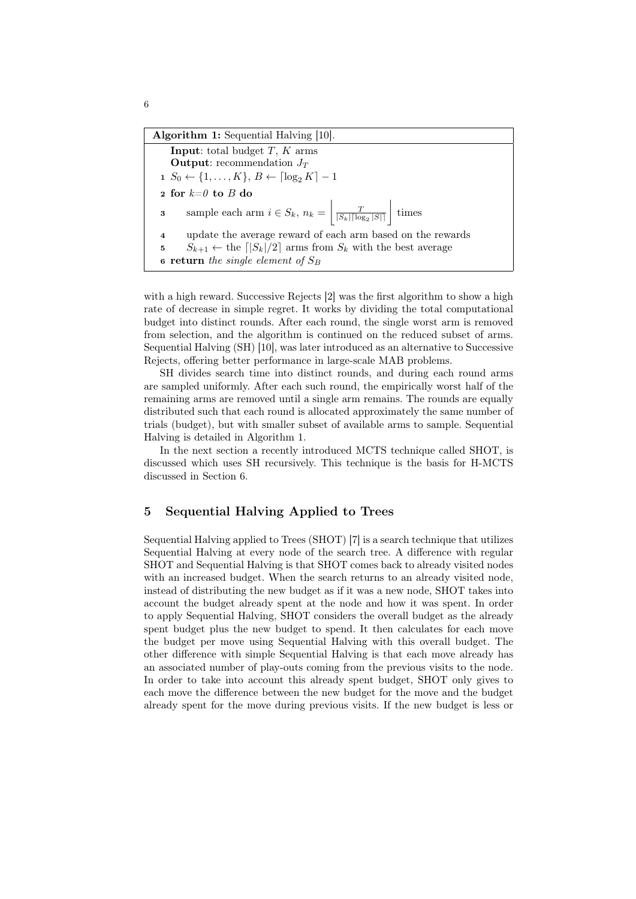with a high reward. Successive Rejects [2] was the first algorithm to show a high rate of decrease in simple regret. It works by dividing the total computational budget into distinct rounds. After each round, the single worst arm is removed from selection, and the algorithm is continued on the reduced subset of arms. Sequential Halving (SH) [10], was later introduced as an alternative to Successive Rejects, offering better performance in large-scale MAB problems.

SH divides search time into distinct rounds, and during each round arms are sampled uniformly. After each such round, the empirically worst half of the remaining arms are removed until a single arm remains. The rounds are equally distributed such that each round is allocated approximately the same number of trials (budget), but with smaller subset of available arms to sample. Sequential Halving is detailed in Algorithm 1.

In the next section a recently introduced MCTS technique called SHOT, is discussed which uses SH recursively. This technique is the basis for H-MCTS discussed in Section 6.

## 5 Sequential Halving Applied to Trees

Sequential Halving applied to Trees (SHOT) [7] is a search technique that utilizes Sequential Halving at every node of the search tree. A difference with regular SHOT and Sequential Halving is that SHOT comes back to already visited nodes with an increased budget. When the search returns to an already visited node, instead of distributing the new budget as if it was a new node, SHOT takes into account the budget already spent at the node and how it was spent. In order to apply Sequential Halving, SHOT considers the overall budget as the already spent budget plus the new budget to spend. It then calculates for each move the budget per move using Sequential Halving with this overall budget. The other difference with simple Sequential Halving is that each move already has an associated number of play-outs coming from the previous visits to the node. In order to take into account this already spent budget, SHOT only gives to each move the difference between the new budget for the move and the budget already spent for the move during previous visits. If the new budget is less or

6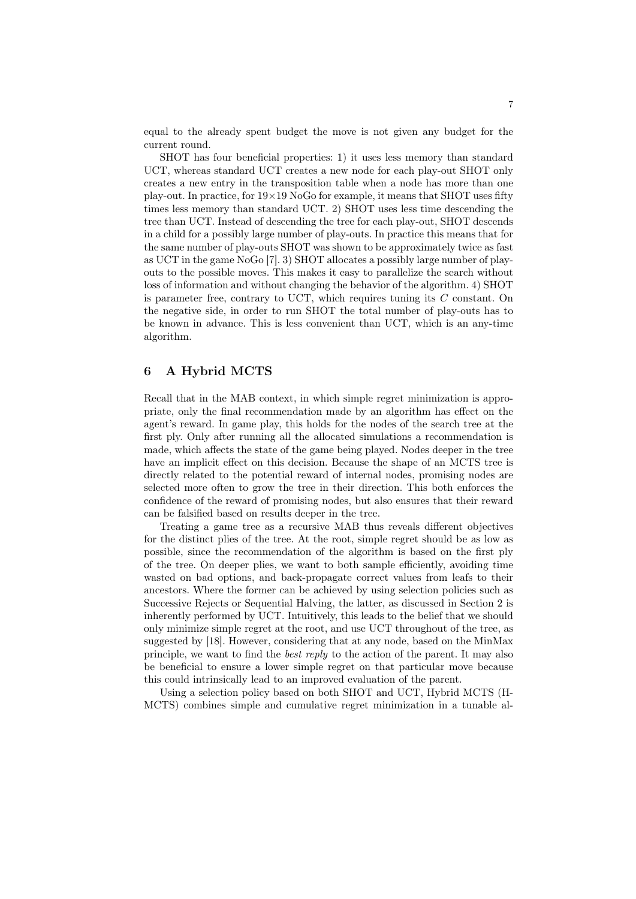equal to the already spent budget the move is not given any budget for the current round.

SHOT has four beneficial properties: 1) it uses less memory than standard UCT, whereas standard UCT creates a new node for each play-out SHOT only creates a new entry in the transposition table when a node has more than one play-out. In practice, for  $19 \times 19$  NoGo for example, it means that SHOT uses fifty times less memory than standard UCT. 2) SHOT uses less time descending the tree than UCT. Instead of descending the tree for each play-out, SHOT descends in a child for a possibly large number of play-outs. In practice this means that for the same number of play-outs SHOT was shown to be approximately twice as fast as UCT in the game NoGo [7]. 3) SHOT allocates a possibly large number of playouts to the possible moves. This makes it easy to parallelize the search without loss of information and without changing the behavior of the algorithm. 4) SHOT is parameter free, contrary to UCT, which requires tuning its  $C$  constant. On the negative side, in order to run SHOT the total number of play-outs has to be known in advance. This is less convenient than UCT, which is an any-time algorithm.

## 6 A Hybrid MCTS

Recall that in the MAB context, in which simple regret minimization is appropriate, only the final recommendation made by an algorithm has effect on the agent's reward. In game play, this holds for the nodes of the search tree at the first ply. Only after running all the allocated simulations a recommendation is made, which affects the state of the game being played. Nodes deeper in the tree have an implicit effect on this decision. Because the shape of an MCTS tree is directly related to the potential reward of internal nodes, promising nodes are selected more often to grow the tree in their direction. This both enforces the confidence of the reward of promising nodes, but also ensures that their reward can be falsified based on results deeper in the tree.

Treating a game tree as a recursive MAB thus reveals different objectives for the distinct plies of the tree. At the root, simple regret should be as low as possible, since the recommendation of the algorithm is based on the first ply of the tree. On deeper plies, we want to both sample efficiently, avoiding time wasted on bad options, and back-propagate correct values from leafs to their ancestors. Where the former can be achieved by using selection policies such as Successive Rejects or Sequential Halving, the latter, as discussed in Section 2 is inherently performed by UCT. Intuitively, this leads to the belief that we should only minimize simple regret at the root, and use UCT throughout of the tree, as suggested by [18]. However, considering that at any node, based on the MinMax principle, we want to find the best reply to the action of the parent. It may also be beneficial to ensure a lower simple regret on that particular move because this could intrinsically lead to an improved evaluation of the parent.

Using a selection policy based on both SHOT and UCT, Hybrid MCTS (H-MCTS) combines simple and cumulative regret minimization in a tunable al-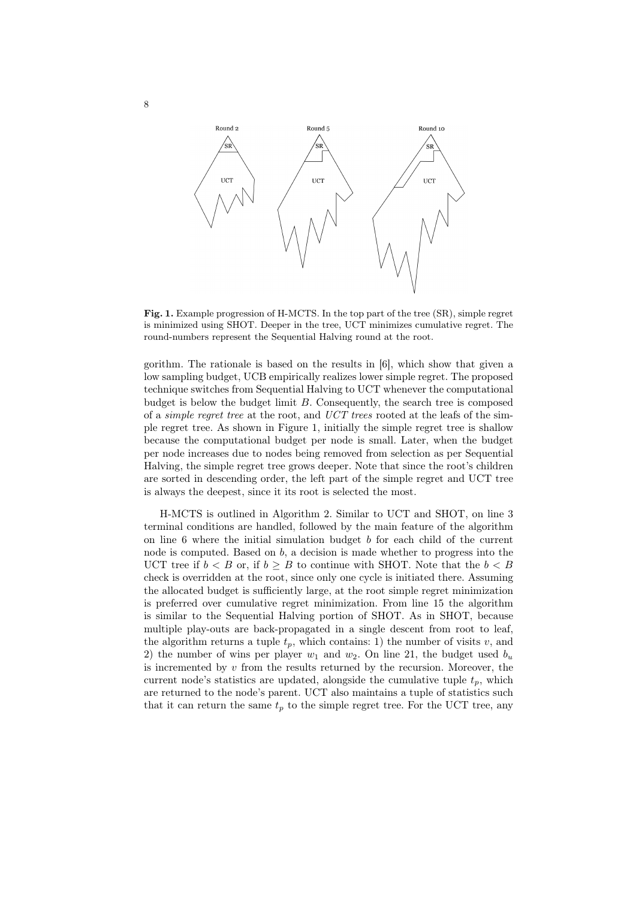

Fig. 1. Example progression of H-MCTS. In the top part of the tree (SR), simple regret is minimized using SHOT. Deeper in the tree, UCT minimizes cumulative regret. The round-numbers represent the Sequential Halving round at the root.

gorithm. The rationale is based on the results in [6], which show that given a low sampling budget, UCB empirically realizes lower simple regret. The proposed technique switches from Sequential Halving to UCT whenever the computational budget is below the budget limit  $B$ . Consequently, the search tree is composed of a simple regret tree at the root, and UCT trees rooted at the leafs of the simple regret tree. As shown in Figure 1, initially the simple regret tree is shallow because the computational budget per node is small. Later, when the budget per node increases due to nodes being removed from selection as per Sequential Halving, the simple regret tree grows deeper. Note that since the root's children are sorted in descending order, the left part of the simple regret and UCT tree is always the deepest, since it its root is selected the most.

H-MCTS is outlined in Algorithm 2. Similar to UCT and SHOT, on line 3 terminal conditions are handled, followed by the main feature of the algorithm on line  $6$  where the initial simulation budget  $b$  for each child of the current node is computed. Based on  $b$ , a decision is made whether to progress into the UCT tree if  $b < B$  or, if  $b \geq B$  to continue with SHOT. Note that the  $b < B$ check is overridden at the root, since only one cycle is initiated there. Assuming the allocated budget is sufficiently large, at the root simple regret minimization is preferred over cumulative regret minimization. From line 15 the algorithm is similar to the Sequential Halving portion of SHOT. As in SHOT, because multiple play-outs are back-propagated in a single descent from root to leaf, the algorithm returns a tuple  $t_p$ , which contains: 1) the number of visits v, and 2) the number of wins per player  $w_1$  and  $w_2$ . On line 21, the budget used  $b_u$ is incremented by  $v$  from the results returned by the recursion. Moreover, the current node's statistics are updated, alongside the cumulative tuple  $t_p$ , which are returned to the node's parent. UCT also maintains a tuple of statistics such that it can return the same  $t_p$  to the simple regret tree. For the UCT tree, any

8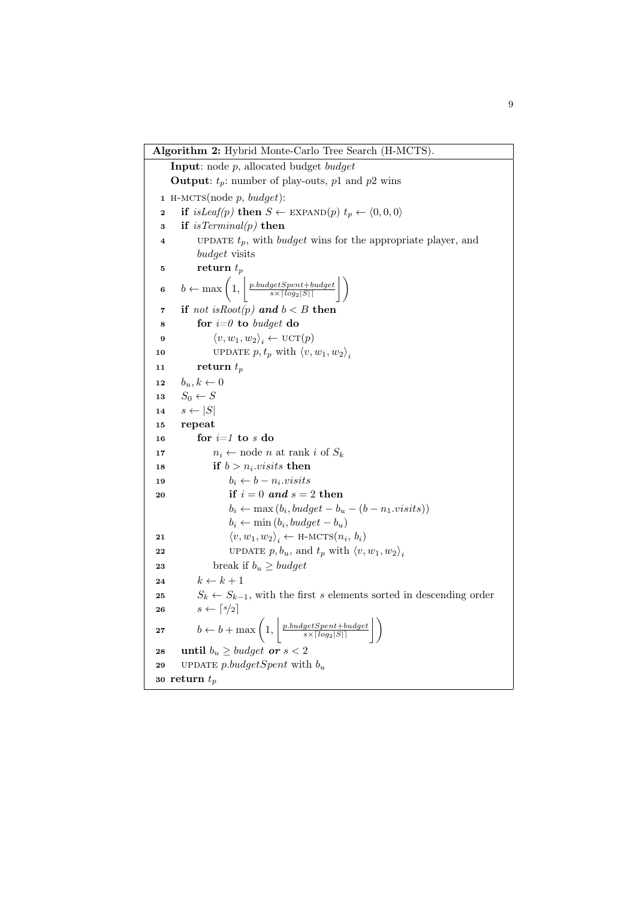```
Algorithm 2: Hybrid Monte-Carlo Tree Search (H-MCTS).
    Input: node p, allocated budget budget
    Output: t_p: number of play-outs, p1 and p2 wins
 1 H-MCTS(node p, budget):
 2 if isLeaf(p) then S \leftarrow EXPAND(p) t_p \leftarrow \langle 0, 0, 0 \rangle3 if is Terminal(p) then
 4 UPDATE t_p, with budget wins for the appropriate player, and
           budget visits
  5 return t_p6 b \leftarrow \max\left(1, \left|\frac{p.budgetSpent+budget}{s \times \lceil log_2|S|\rceil}\right|\right)7 if not is Root(p) and b < B then
 8 for i=0 to budget do
  9 \langle v, w_1, w_2 \rangle_i \leftarrow \text{UCT}(p)10 UPDATE p, t_p with \langle v, w_1, w_2 \rangle_i11 return t_p12 b_u, k \leftarrow 013 S_0 \leftarrow S14 s \leftarrow |S|15 repeat
16 for i=1 to s do
17 n_i \leftarrow \text{node } n \text{ at rank } i \text{ of } S_k18 if b > n_i.visits then
 19 b_i \leftarrow b - n_i \text{.} visits20 if i = 0 and s = 2 then
                   b_i \leftarrow \max(b_i, budget - b_u - (b - n_1.visits))b_i \leftarrow \min(b_i, budget - b_u)21 \langle v, w_1, w_2 \rangle_i \leftarrow \text{H-MCTS}(n_i, b_i)22 UPDATE p, b_u, and t_p with \langle v, w_1, w_2 \rangle_i23 break if b_u \geq budget24 k \leftarrow k + 125 S_k \leftarrow S_{k-1}, with the first s elements sorted in descending order
26 s \leftarrow \lceil s/2 \rceil27 b \leftarrow b + \max\left(1, \left|\frac{p.budgetSpent + budget}{s \times \lceil log_2|S|\rceil}\right|\right)28 until b_u \geq budget \textbf{ or } s < 229 update p.budgetSpent with b_u30 return t_p
```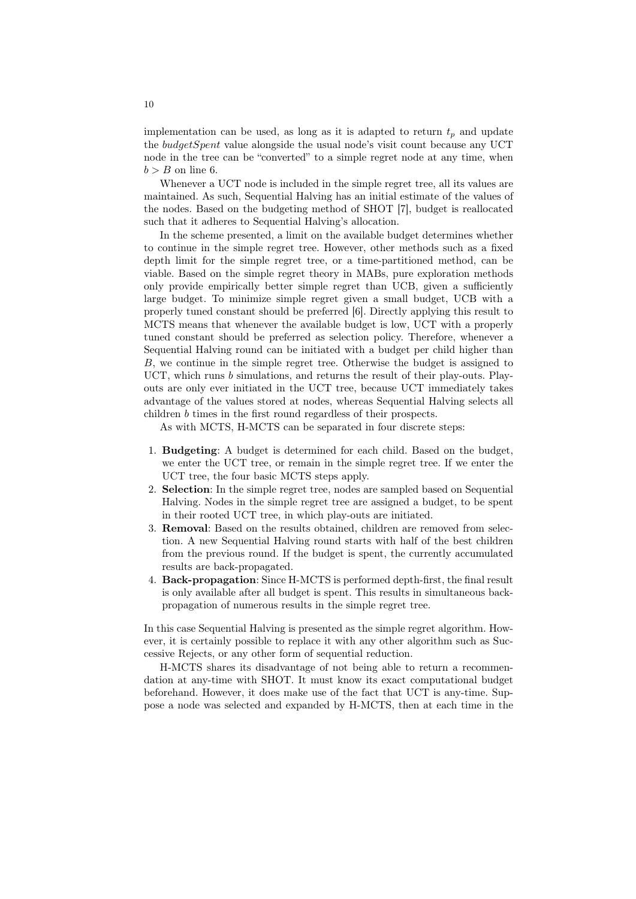implementation can be used, as long as it is adapted to return  $t_p$  and update the budgetSpent value alongside the usual node's visit count because any UCT node in the tree can be "converted" to a simple regret node at any time, when  $b > B$  on line 6.

Whenever a UCT node is included in the simple regret tree, all its values are maintained. As such, Sequential Halving has an initial estimate of the values of the nodes. Based on the budgeting method of SHOT [7], budget is reallocated such that it adheres to Sequential Halving's allocation.

In the scheme presented, a limit on the available budget determines whether to continue in the simple regret tree. However, other methods such as a fixed depth limit for the simple regret tree, or a time-partitioned method, can be viable. Based on the simple regret theory in MABs, pure exploration methods only provide empirically better simple regret than UCB, given a sufficiently large budget. To minimize simple regret given a small budget, UCB with a properly tuned constant should be preferred [6]. Directly applying this result to MCTS means that whenever the available budget is low, UCT with a properly tuned constant should be preferred as selection policy. Therefore, whenever a Sequential Halving round can be initiated with a budget per child higher than B, we continue in the simple regret tree. Otherwise the budget is assigned to UCT, which runs  $b$  simulations, and returns the result of their play-outs. Playouts are only ever initiated in the UCT tree, because UCT immediately takes advantage of the values stored at nodes, whereas Sequential Halving selects all children b times in the first round regardless of their prospects.

As with MCTS, H-MCTS can be separated in four discrete steps:

- 1. Budgeting: A budget is determined for each child. Based on the budget, we enter the UCT tree, or remain in the simple regret tree. If we enter the UCT tree, the four basic MCTS steps apply.
- 2. Selection: In the simple regret tree, nodes are sampled based on Sequential Halving. Nodes in the simple regret tree are assigned a budget, to be spent in their rooted UCT tree, in which play-outs are initiated.
- 3. Removal: Based on the results obtained, children are removed from selection. A new Sequential Halving round starts with half of the best children from the previous round. If the budget is spent, the currently accumulated results are back-propagated.
- 4. Back-propagation: Since H-MCTS is performed depth-first, the final result is only available after all budget is spent. This results in simultaneous backpropagation of numerous results in the simple regret tree.

In this case Sequential Halving is presented as the simple regret algorithm. However, it is certainly possible to replace it with any other algorithm such as Successive Rejects, or any other form of sequential reduction.

H-MCTS shares its disadvantage of not being able to return a recommendation at any-time with SHOT. It must know its exact computational budget beforehand. However, it does make use of the fact that UCT is any-time. Suppose a node was selected and expanded by H-MCTS, then at each time in the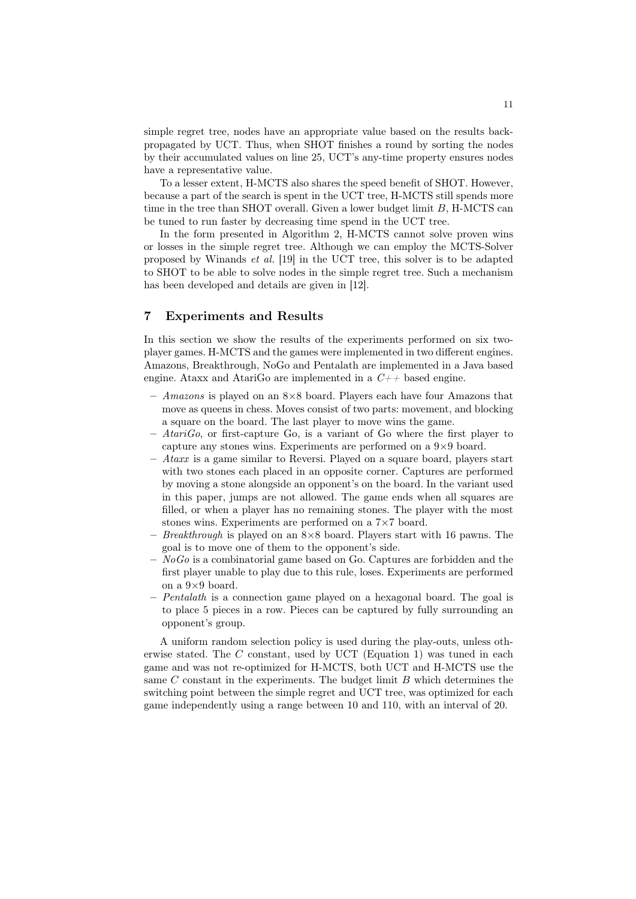simple regret tree, nodes have an appropriate value based on the results backpropagated by UCT. Thus, when SHOT finishes a round by sorting the nodes by their accumulated values on line 25, UCT's any-time property ensures nodes have a representative value.

To a lesser extent, H-MCTS also shares the speed benefit of SHOT. However, because a part of the search is spent in the UCT tree, H-MCTS still spends more time in the tree than SHOT overall. Given a lower budget limit  $B$ , H-MCTS can be tuned to run faster by decreasing time spend in the UCT tree.

In the form presented in Algorithm 2, H-MCTS cannot solve proven wins or losses in the simple regret tree. Although we can employ the MCTS-Solver proposed by Winands et al. [19] in the UCT tree, this solver is to be adapted to SHOT to be able to solve nodes in the simple regret tree. Such a mechanism has been developed and details are given in [12].

### 7 Experiments and Results

In this section we show the results of the experiments performed on six twoplayer games. H-MCTS and the games were implemented in two different engines. Amazons, Breakthrough, NoGo and Pentalath are implemented in a Java based engine. Ataxx and AtariGo are implemented in a  $C_{++}$  based engine.

- $-$  Amazons is played on an  $8\times 8$  board. Players each have four Amazons that move as queens in chess. Moves consist of two parts: movement, and blocking a square on the board. The last player to move wins the game.
- $-$  AtariGo, or first-capture Go, is a variant of Go where the first player to capture any stones wins. Experiments are performed on a 9×9 board.
- $-$  Ataxx is a game similar to Reversi. Played on a square board, players start with two stones each placed in an opposite corner. Captures are performed by moving a stone alongside an opponent's on the board. In the variant used in this paper, jumps are not allowed. The game ends when all squares are filled, or when a player has no remaining stones. The player with the most stones wins. Experiments are performed on a 7×7 board.
- Breakthrough is played on an  $8\times 8$  board. Players start with 16 pawns. The goal is to move one of them to the opponent's side.
- $-$  NoGo is a combinatorial game based on Go. Captures are forbidden and the first player unable to play due to this rule, loses. Experiments are performed on a 9×9 board.
- Pentalath is a connection game played on a hexagonal board. The goal is to place 5 pieces in a row. Pieces can be captured by fully surrounding an opponent's group.

A uniform random selection policy is used during the play-outs, unless otherwise stated. The C constant, used by UCT (Equation 1) was tuned in each game and was not re-optimized for H-MCTS, both UCT and H-MCTS use the same  $C$  constant in the experiments. The budget limit  $B$  which determines the switching point between the simple regret and UCT tree, was optimized for each game independently using a range between 10 and 110, with an interval of 20.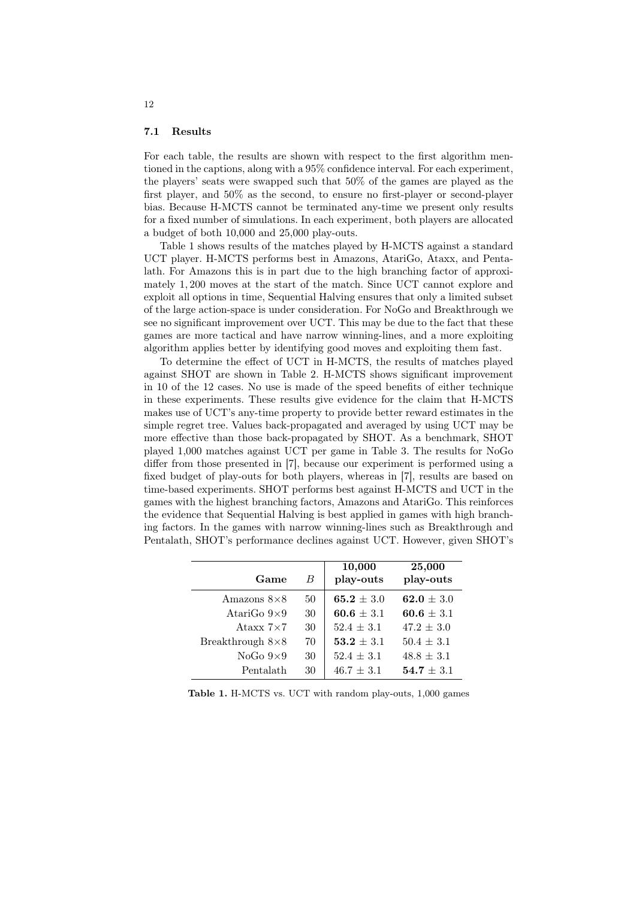#### 7.1 Results

For each table, the results are shown with respect to the first algorithm mentioned in the captions, along with a 95% confidence interval. For each experiment, the players' seats were swapped such that 50% of the games are played as the first player, and 50% as the second, to ensure no first-player or second-player bias. Because H-MCTS cannot be terminated any-time we present only results for a fixed number of simulations. In each experiment, both players are allocated a budget of both 10,000 and 25,000 play-outs.

Table 1 shows results of the matches played by H-MCTS against a standard UCT player. H-MCTS performs best in Amazons, AtariGo, Ataxx, and Pentalath. For Amazons this is in part due to the high branching factor of approximately 1, 200 moves at the start of the match. Since UCT cannot explore and exploit all options in time, Sequential Halving ensures that only a limited subset of the large action-space is under consideration. For NoGo and Breakthrough we see no significant improvement over UCT. This may be due to the fact that these games are more tactical and have narrow winning-lines, and a more exploiting algorithm applies better by identifying good moves and exploiting them fast.

To determine the effect of UCT in H-MCTS, the results of matches played against SHOT are shown in Table 2. H-MCTS shows significant improvement in 10 of the 12 cases. No use is made of the speed benefits of either technique in these experiments. These results give evidence for the claim that H-MCTS makes use of UCT's any-time property to provide better reward estimates in the simple regret tree. Values back-propagated and averaged by using UCT may be more effective than those back-propagated by SHOT. As a benchmark, SHOT played 1,000 matches against UCT per game in Table 3. The results for NoGo differ from those presented in [7], because our experiment is performed using a fixed budget of play-outs for both players, whereas in [7], results are based on time-based experiments. SHOT performs best against H-MCTS and UCT in the games with the highest branching factors, Amazons and AtariGo. This reinforces the evidence that Sequential Halving is best applied in games with high branching factors. In the games with narrow winning-lines such as Breakthrough and Pentalath, SHOT's performance declines against UCT. However, given SHOT's

| Game                    | B  | 10,000<br>play-outs | 25,000<br>play-outs |
|-------------------------|----|---------------------|---------------------|
| Amazons $8\times8$      | 50 | 65.2 $\pm$ 3.0      | 62.0 $\pm$ 3.0      |
| AtariGo $9\times9$      | 30 | $60.6 \pm 3.1$      | 60.6 $\pm$ 3.1      |
| Ataxx $7\times7$        | 30 | $52.4 \pm 3.1$      | $47.2 \pm 3.0$      |
| Breakthrough $8\times8$ | 70 | $53.2 \pm 3.1$      | $50.4 \pm 3.1$      |
| NoGo $9\times9$         | 30 | $52.4 \pm 3.1$      | $48.8 \pm 3.1$      |
| Pentalath               | 30 | $46.7 \pm 3.1$      | $54.7 \pm 3.1$      |

Table 1. H-MCTS vs. UCT with random play-outs, 1,000 games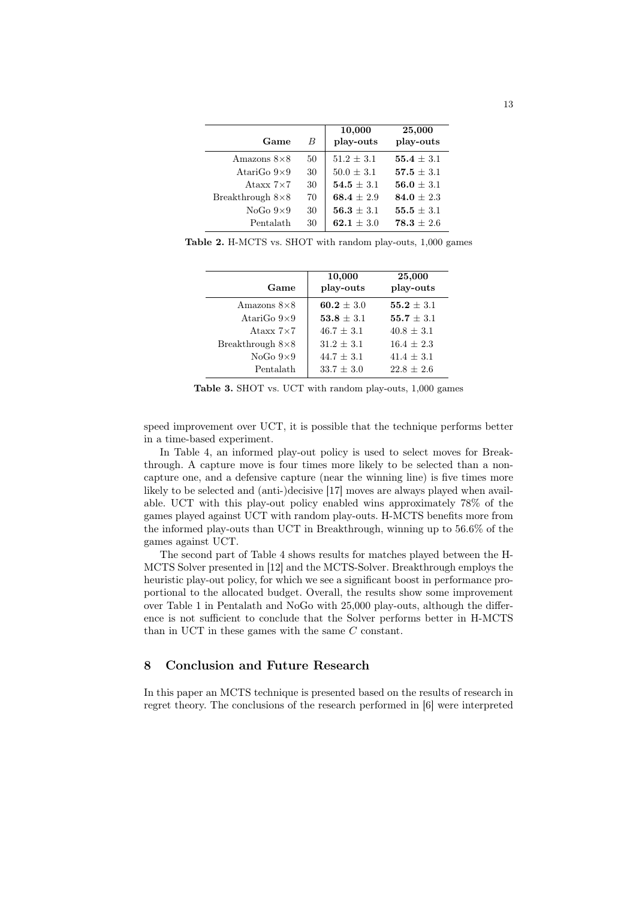| Game                    | $_{B}$ | 10,000<br>play-outs | 25,000<br>play-outs |
|-------------------------|--------|---------------------|---------------------|
| Amazons $8\times8$      | 50     | $51.2 + 3.1$        | $55.4 \pm 3.1$      |
| AtariGo $9\times9$      | 30     | $50.0 \pm 3.1$      | $57.5 + 3.1$        |
| Ataxx $7\times7$        | 30     | $54.5 + 3.1$        | $56.0 + 3.1$        |
| Breakthrough $8\times8$ | 70     | $68.4 + 2.9$        | $84.0 + 2.3$        |
| NoGo $9\times9$         | 30     | $56.3 + 3.1$        | $55.5 \pm 3.1$      |
| Pentalath               | 30     | 62.1 $\pm$ 3.0      | $78.3 + 2.6$        |

Table 2. H-MCTS vs. SHOT with random play-outs, 1,000 games

| Game                    | 10,000<br>play-outs | 25,000<br>play-outs |
|-------------------------|---------------------|---------------------|
| Amazons $8\times8$      | $60.2 + 3.0$        | $55.2 + 3.1$        |
| AtariGo $9\times9$      | $53.8 + 3.1$        | $55.7 + 3.1$        |
| Ataxx $7\times7$        | $46.7 + 3.1$        | $40.8 + 3.1$        |
| Breakthrough $8\times8$ | $31.2 + 3.1$        | $16.4 + 2.3$        |
| NoGo $9\times9$         | $44.7 \pm 3.1$      | $41.4 + 3.1$        |
| Pentalath               | $33.7 + 3.0$        | $22.8 + 2.6$        |

Table 3. SHOT vs. UCT with random play-outs, 1,000 games

speed improvement over UCT, it is possible that the technique performs better in a time-based experiment.

In Table 4, an informed play-out policy is used to select moves for Breakthrough. A capture move is four times more likely to be selected than a noncapture one, and a defensive capture (near the winning line) is five times more likely to be selected and (anti-)decisive [17] moves are always played when available. UCT with this play-out policy enabled wins approximately 78% of the games played against UCT with random play-outs. H-MCTS benefits more from the informed play-outs than UCT in Breakthrough, winning up to 56.6% of the games against UCT.

The second part of Table 4 shows results for matches played between the H-MCTS Solver presented in [12] and the MCTS-Solver. Breakthrough employs the heuristic play-out policy, for which we see a significant boost in performance proportional to the allocated budget. Overall, the results show some improvement over Table 1 in Pentalath and NoGo with 25,000 play-outs, although the difference is not sufficient to conclude that the Solver performs better in H-MCTS than in UCT in these games with the same C constant.

# 8 Conclusion and Future Research

In this paper an MCTS technique is presented based on the results of research in regret theory. The conclusions of the research performed in [6] were interpreted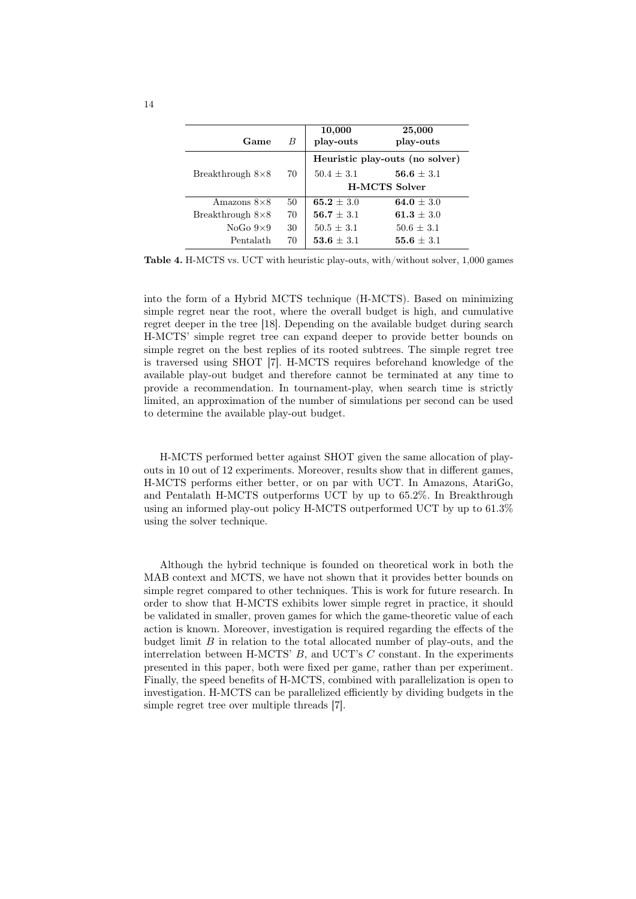| Game                    | B  | 10,000<br>play-outs             | 25,000<br>play-outs  |
|-------------------------|----|---------------------------------|----------------------|
|                         |    | Heuristic play-outs (no solver) |                      |
| Breakthrough $8\times8$ | 70 | $50.4 + 3.1$                    | ${\bf 56.6} \pm 3.1$ |
|                         |    | <b>H-MCTS Solver</b>            |                      |
| Amazons $8\times8$      | 50 | $65.2 + 3.0$                    | 64.0 $\pm$ 3.0       |
| Breakthrough $8\times8$ | 70 | $56.7 \pm 3.1$                  | 61.3 $\pm$ 3.0       |
| NoGo $9\times9$         | 30 | $50.5 + 3.1$                    | $50.6 \pm 3.1$       |
| Pentalath               | 70 | $53.6 + 3.1$                    | 55.6 $\pm$ 3.1       |

Table 4. H-MCTS vs. UCT with heuristic play-outs, with/without solver, 1,000 games

into the form of a Hybrid MCTS technique (H-MCTS). Based on minimizing simple regret near the root, where the overall budget is high, and cumulative regret deeper in the tree [18]. Depending on the available budget during search H-MCTS' simple regret tree can expand deeper to provide better bounds on simple regret on the best replies of its rooted subtrees. The simple regret tree is traversed using SHOT [7]. H-MCTS requires beforehand knowledge of the available play-out budget and therefore cannot be terminated at any time to provide a recommendation. In tournament-play, when search time is strictly limited, an approximation of the number of simulations per second can be used to determine the available play-out budget.

H-MCTS performed better against SHOT given the same allocation of playouts in 10 out of 12 experiments. Moreover, results show that in different games, H-MCTS performs either better, or on par with UCT. In Amazons, AtariGo, and Pentalath H-MCTS outperforms UCT by up to 65.2%. In Breakthrough using an informed play-out policy H-MCTS outperformed UCT by up to 61.3% using the solver technique.

Although the hybrid technique is founded on theoretical work in both the MAB context and MCTS, we have not shown that it provides better bounds on simple regret compared to other techniques. This is work for future research. In order to show that H-MCTS exhibits lower simple regret in practice, it should be validated in smaller, proven games for which the game-theoretic value of each action is known. Moreover, investigation is required regarding the effects of the budget limit  $B$  in relation to the total allocated number of play-outs, and the interrelation between H-MCTS'  $B$ , and UCT's  $C$  constant. In the experiments presented in this paper, both were fixed per game, rather than per experiment. Finally, the speed benefits of H-MCTS, combined with parallelization is open to investigation. H-MCTS can be parallelized efficiently by dividing budgets in the simple regret tree over multiple threads [7].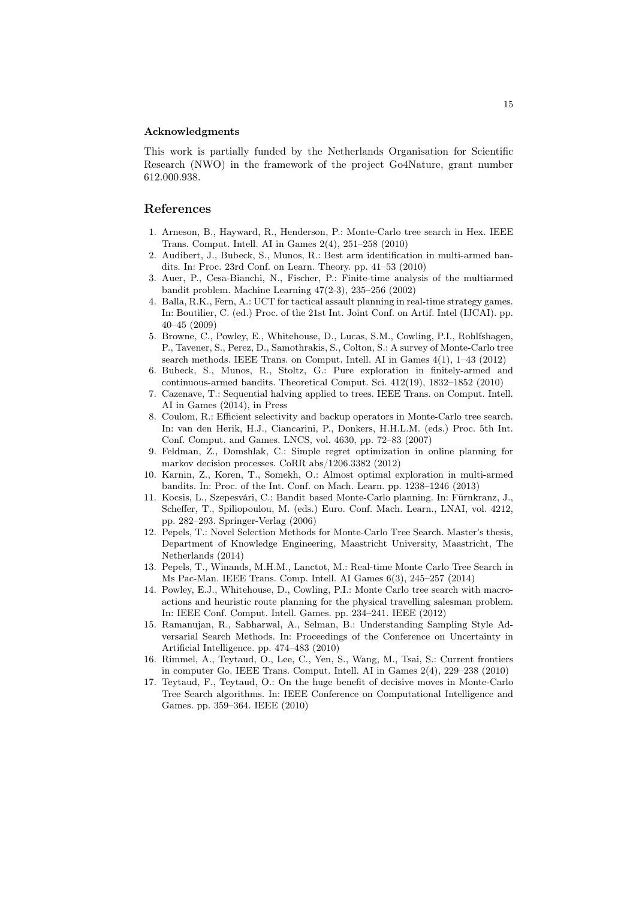#### Acknowledgments

This work is partially funded by the Netherlands Organisation for Scientific Research (NWO) in the framework of the project Go4Nature, grant number 612.000.938.

### References

- 1. Arneson, B., Hayward, R., Henderson, P.: Monte-Carlo tree search in Hex. IEEE Trans. Comput. Intell. AI in Games 2(4), 251–258 (2010)
- 2. Audibert, J., Bubeck, S., Munos, R.: Best arm identification in multi-armed bandits. In: Proc. 23rd Conf. on Learn. Theory. pp. 41–53 (2010)
- 3. Auer, P., Cesa-Bianchi, N., Fischer, P.: Finite-time analysis of the multiarmed bandit problem. Machine Learning 47(2-3), 235–256 (2002)
- 4. Balla, R.K., Fern, A.: UCT for tactical assault planning in real-time strategy games. In: Boutilier, C. (ed.) Proc. of the 21st Int. Joint Conf. on Artif. Intel (IJCAI). pp. 40–45 (2009)
- 5. Browne, C., Powley, E., Whitehouse, D., Lucas, S.M., Cowling, P.I., Rohlfshagen, P., Tavener, S., Perez, D., Samothrakis, S., Colton, S.: A survey of Monte-Carlo tree search methods. IEEE Trans. on Comput. Intell. AI in Games 4(1), 1–43 (2012)
- 6. Bubeck, S., Munos, R., Stoltz, G.: Pure exploration in finitely-armed and continuous-armed bandits. Theoretical Comput. Sci. 412(19), 1832–1852 (2010)
- 7. Cazenave, T.: Sequential halving applied to trees. IEEE Trans. on Comput. Intell. AI in Games (2014), in Press
- 8. Coulom, R.: Efficient selectivity and backup operators in Monte-Carlo tree search. In: van den Herik, H.J., Ciancarini, P., Donkers, H.H.L.M. (eds.) Proc. 5th Int. Conf. Comput. and Games. LNCS, vol. 4630, pp. 72–83 (2007)
- 9. Feldman, Z., Domshlak, C.: Simple regret optimization in online planning for markov decision processes. CoRR abs/1206.3382 (2012)
- 10. Karnin, Z., Koren, T., Somekh, O.: Almost optimal exploration in multi-armed bandits. In: Proc. of the Int. Conf. on Mach. Learn. pp. 1238–1246 (2013)
- 11. Kocsis, L., Szepesvári, C.: Bandit based Monte-Carlo planning. In: Fürnkranz, J., Scheffer, T., Spiliopoulou, M. (eds.) Euro. Conf. Mach. Learn., LNAI, vol. 4212, pp. 282–293. Springer-Verlag (2006)
- 12. Pepels, T.: Novel Selection Methods for Monte-Carlo Tree Search. Master's thesis, Department of Knowledge Engineering, Maastricht University, Maastricht, The Netherlands (2014)
- 13. Pepels, T., Winands, M.H.M., Lanctot, M.: Real-time Monte Carlo Tree Search in Ms Pac-Man. IEEE Trans. Comp. Intell. AI Games 6(3), 245–257 (2014)
- 14. Powley, E.J., Whitehouse, D., Cowling, P.I.: Monte Carlo tree search with macroactions and heuristic route planning for the physical travelling salesman problem. In: IEEE Conf. Comput. Intell. Games. pp. 234–241. IEEE (2012)
- 15. Ramanujan, R., Sabharwal, A., Selman, B.: Understanding Sampling Style Adversarial Search Methods. In: Proceedings of the Conference on Uncertainty in Artificial Intelligence. pp. 474–483 (2010)
- 16. Rimmel, A., Teytaud, O., Lee, C., Yen, S., Wang, M., Tsai, S.: Current frontiers in computer Go. IEEE Trans. Comput. Intell. AI in Games 2(4), 229–238 (2010)
- 17. Teytaud, F., Teytaud, O.: On the huge benefit of decisive moves in Monte-Carlo Tree Search algorithms. In: IEEE Conference on Computational Intelligence and Games. pp. 359–364. IEEE (2010)